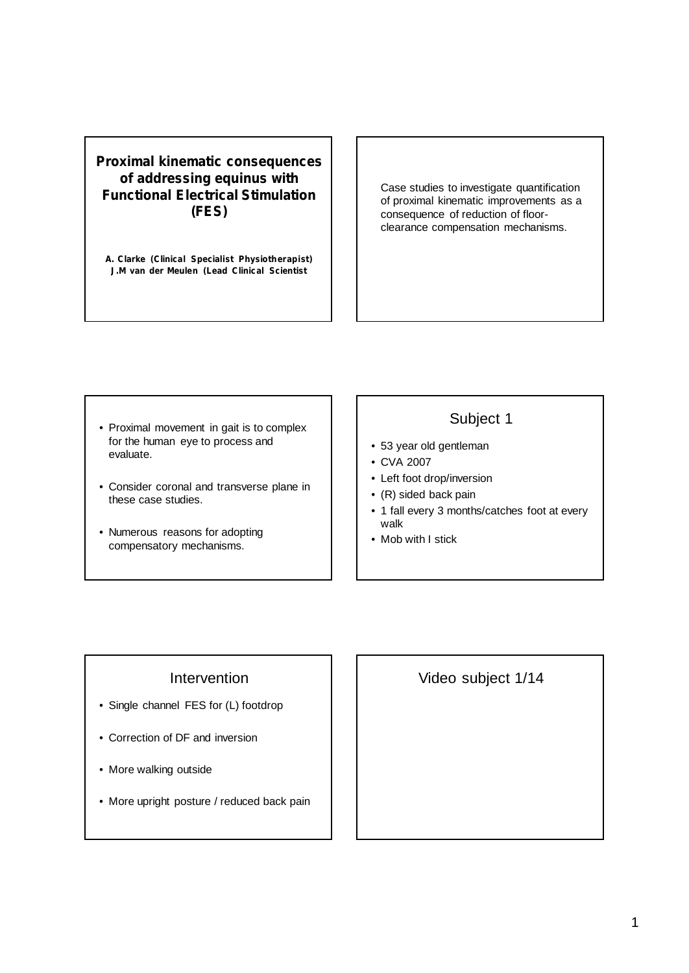#### **Proximal kinematic consequences of addressing equinus with Functional Electrical Stimulation (FES)**

**A. Clarke (Clinical Specialist Physiotherapist) J.M van der Meulen (Lead Clinical Scientist**

Case studies to investigate quantification of proximal kinematic improvements as a consequence of reduction of floorclearance compensation mechanisms.

- Proximal movement in gait is to complex for the human eye to process and evaluate.
- Consider coronal and transverse plane in these case studies.
- Numerous reasons for adopting compensatory mechanisms.

# Subject 1

- 
- 53 year old gentleman
- CVA 2007
- Left foot drop/inversion
- (R) sided back pain
- 1 fall every 3 months/catches foot at every walk
- Mob with I stick

## Intervention

- Single channel FES for (L) footdrop
- Correction of DF and inversion
- More walking outside
- More upright posture / reduced back pain

Video subject 1/14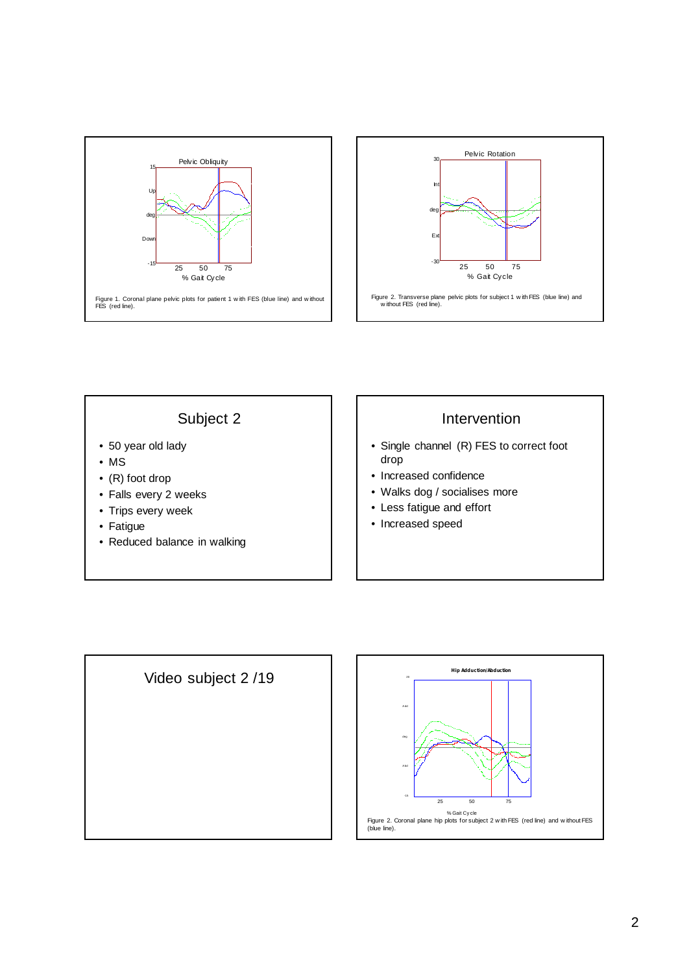



# Subject 2

- 50 year old lady
- MS
- (R) foot drop
- Falls every 2 weeks
- Trips every week
- Fatigue
- Reduced balance in walking

# **Intervention**

- Single channel (R) FES to correct foot drop
- Increased confidence
- Walks dog / socialises more
- Less fatigue and effort
- Increased speed